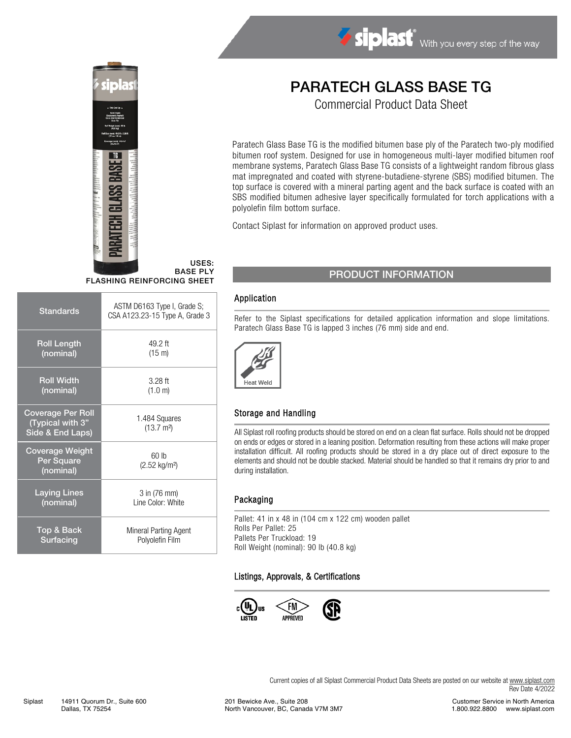

USES: BASE PLY FLASHING REINFORCING SHEET

| <b>Standards</b>                                                 | ASTM D6163 Type I, Grade S;<br>CSA A123.23-15 Type A, Grade 3 |  |  |
|------------------------------------------------------------------|---------------------------------------------------------------|--|--|
| <b>Roll Length</b>                                               | 49.2 ft                                                       |  |  |
| (nominal)                                                        | (15 m)                                                        |  |  |
| <b>Roll Width</b>                                                | $3.28$ ft                                                     |  |  |
| (nominal)                                                        | (1.0 m)                                                       |  |  |
| <b>Coverage Per Roll</b><br>(Typical with 3"<br>Side & End Laps) | 1.484 Squares<br>$(13.7 \text{ m}^2)$                         |  |  |
| <b>Coverage Weight</b><br>Per Square<br>(nominal)                | 60 lb<br>$(2.52 \text{ kg/m}^2)$                              |  |  |
| <b>Laying Lines</b>                                              | 3 in (76 mm)                                                  |  |  |
| (nominal)                                                        | Line Color: White                                             |  |  |
| Top & Back                                                       | Mineral Parting Agent                                         |  |  |
| <b>Surfacing</b>                                                 | Polyolefin Film                                               |  |  |

# PARATECH GLASS BASE TG

Siplast With you every step of the way

Commercial Product Data Sheet

Paratech Glass Base TG is the modified bitumen base ply of the Paratech two-ply modified bitumen roof system. Designed for use in homogeneous multi-layer modified bitumen roof membrane systems, Paratech Glass Base TG consists of a lightweight random fibrous glass mat impregnated and coated with styrene-butadiene-styrene (SBS) modified bitumen. The top surface is covered with a mineral parting agent and the back surface is coated with an SBS modified bitumen adhesive layer specifically formulated for torch applications with a polyolefin film bottom surface.

Contact Siplast for information on approved product uses.

## PRODUCT INFORMATION

#### Application

Refer to the Siplast specifications for detailed application information and slope limitations. Paratech Glass Base TG is lapped 3 inches (76 mm) side and end.



#### Storage and Handling

All Siplast roll roofing products should be stored on end on a clean flat surface. Rolls should not be dropped on ends or edges or stored in a leaning position. Deformation resulting from these actions will make proper installation difficult. All roofing products should be stored in a dry place out of direct exposure to the elements and should not be double stacked. Material should be handled so that it remains dry prior to and during installation.

#### Packaging

Pallet: 41 in x 48 in (104 cm x 122 cm) wooden pallet Rolls Per Pallet: 25 Pallets Per Truckload: 19 Roll Weight (nominal): 90 lb (40.8 kg)

#### Listings, Approvals, & Certifications



Current copies of all Siplast Commercial Product Data Sheets are posted on our website at [www.siplast.com](http://www.siplast.com/) Rev Date 4/2022